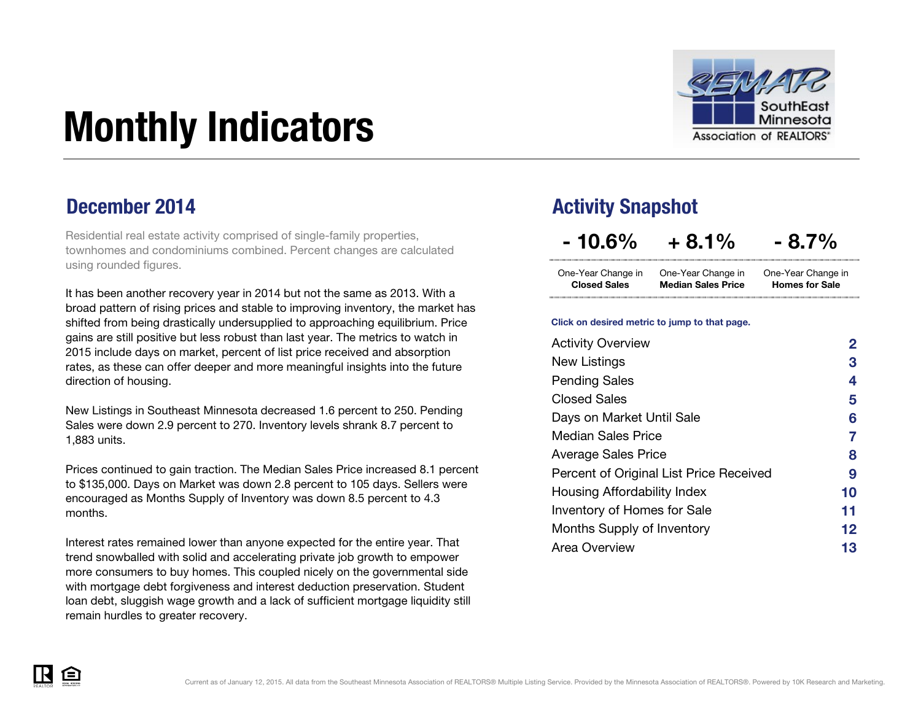

# <span id="page-0-0"></span>Monthly Indicators

Residential real estate activity comprised of single-family properties, townhomes and condominiums combined. Percent changes are calculated using rounded figures.

It has been another recovery year in 2014 but not the same as 2013. With a broad pattern of rising prices and stable to improving inventory, the market has shifted from being drastically undersupplied to approaching equilibrium. Price gains are still positive but less robust than last year. The metrics to watch in 2015 include days on market, percent of list price received and absorption rates, as these can offer deeper and more meaningful insights into the future direction of housing.

New Listings in Southeast Minnesota decreased 1.6 percent to 250. Pending Sales were down 2.9 percent to 270. Inventory levels shrank 8.7 percent to 1,883 units.

Prices continued to gain traction. The Median Sales Price increased 8.1 percent to \$135,000. Days on Market was down 2.8 percent to 105 days. Sellers were encouraged as Months Supply of Inventory was down 8.5 percent to 4.3 months.

Interest rates remained lower than anyone expected for the entire year. That trend snowballed with solid and accelerating private job growth to empower more consumers to buy homes. This coupled nicely on the governmental side with mortgage debt forgiveness and interest deduction preservation. Student loan debt, sluggish wage growth and a lack of sufficient mortgage liquidity still remain hurdles to greater recovery.

### **December 2014 Activity Snapshot**

 $-10.6\% + 8.1\% - 8.7\%$ 

One-Year Change in One-Year Change in Closed Sales Median Sales Price One-Year Change in Homes for Sale

#### Click on desired metric to jump to that page.

| <b>Activity Overview</b>                | 2  |
|-----------------------------------------|----|
| New Listings                            | З  |
| <b>Pending Sales</b>                    | 4  |
| <b>Closed Sales</b>                     | 5  |
| Days on Market Until Sale               | 6  |
| <b>Median Sales Price</b>               | 7  |
| <b>Average Sales Price</b>              | 8  |
| Percent of Original List Price Received | 9  |
| Housing Affordability Index             | 10 |
| <b>Inventory of Homes for Sale</b>      | 11 |
| Months Supply of Inventory              | 12 |
| Area Overview                           | 13 |

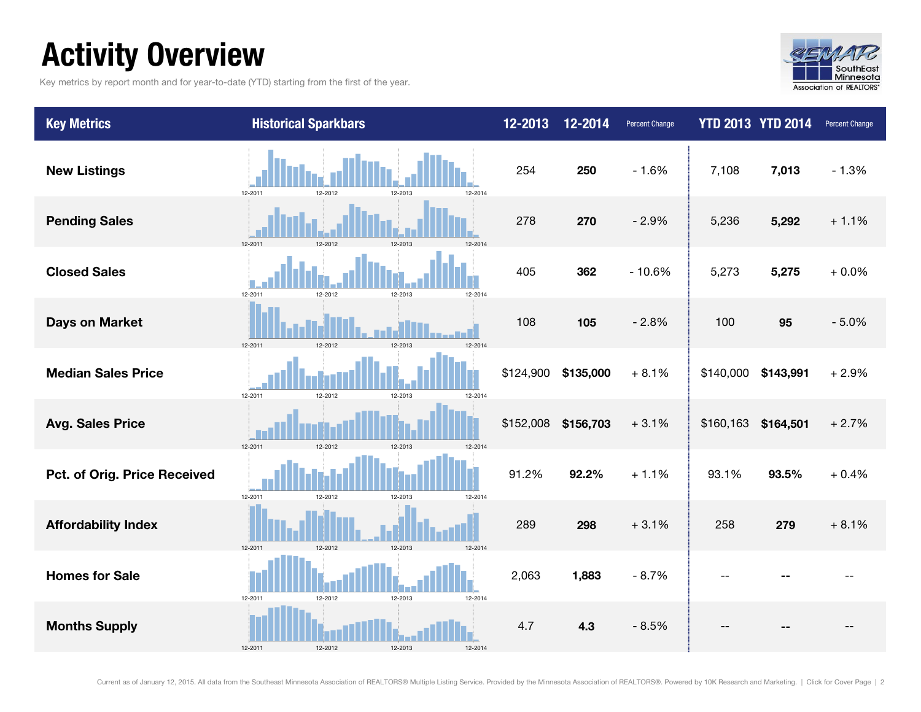## <span id="page-1-0"></span>Activity Overview

Key metrics by report month and for year-to-date (YTD) starting from the first of the year.



| <b>Key Metrics</b>           | <b>Historical Sparkbars</b>              | 12-2013   | 12-2014   | <b>Percent Change</b> |           | <b>YTD 2013 YTD 2014</b> | <b>Percent Change</b> |
|------------------------------|------------------------------------------|-----------|-----------|-----------------------|-----------|--------------------------|-----------------------|
| <b>New Listings</b>          | 12-2014<br>12-2011<br>12-2012<br>12-2013 | 254       | 250       | $-1.6%$               | 7,108     | 7,013                    | $-1.3%$               |
| <b>Pending Sales</b>         | 12-2012<br>12-2011<br>12-2013<br>12-2014 | 278       | 270       | $-2.9%$               | 5,236     | 5,292                    | $+1.1%$               |
| <b>Closed Sales</b>          | 12-2011<br>12-2013<br>12-2014<br>12-2012 | 405       | 362       | $-10.6%$              | 5,273     | 5,275                    | $+0.0%$               |
| <b>Days on Market</b>        | 12-2012<br>12-2013<br>12-2014<br>12-2011 | 108       | 105       | $-2.8%$               | 100       | 95                       | $-5.0%$               |
| <b>Median Sales Price</b>    | 12-2011<br>12-2012<br>12-2013<br>12-2014 | \$124,900 | \$135,000 | $+8.1%$               | \$140,000 | \$143,991                | $+2.9%$               |
| <b>Avg. Sales Price</b>      | 12-2011<br>12-2012<br>12-2013<br>12-2014 | \$152,008 | \$156,703 | $+3.1%$               | \$160,163 | \$164,501                | $+2.7%$               |
| Pct. of Orig. Price Received | 12-2011<br>12-2012<br>12-2013<br>12-2014 | 91.2%     | 92.2%     | $+1.1%$               | 93.1%     | 93.5%                    | $+0.4%$               |
| <b>Affordability Index</b>   | 12-2012<br>12-2013<br>12-2011<br>12-2014 | 289       | 298       | $+3.1%$               | 258       | 279                      | $+8.1%$               |
| <b>Homes for Sale</b>        | 12-2011<br>12-2012<br>12-2013<br>12-2014 | 2,063     | 1,883     | $-8.7%$               | --        |                          |                       |
| <b>Months Supply</b>         | 12-2011<br>12-2012<br>12-2013<br>12-2014 | 4.7       | 4.3       | $-8.5%$               |           |                          |                       |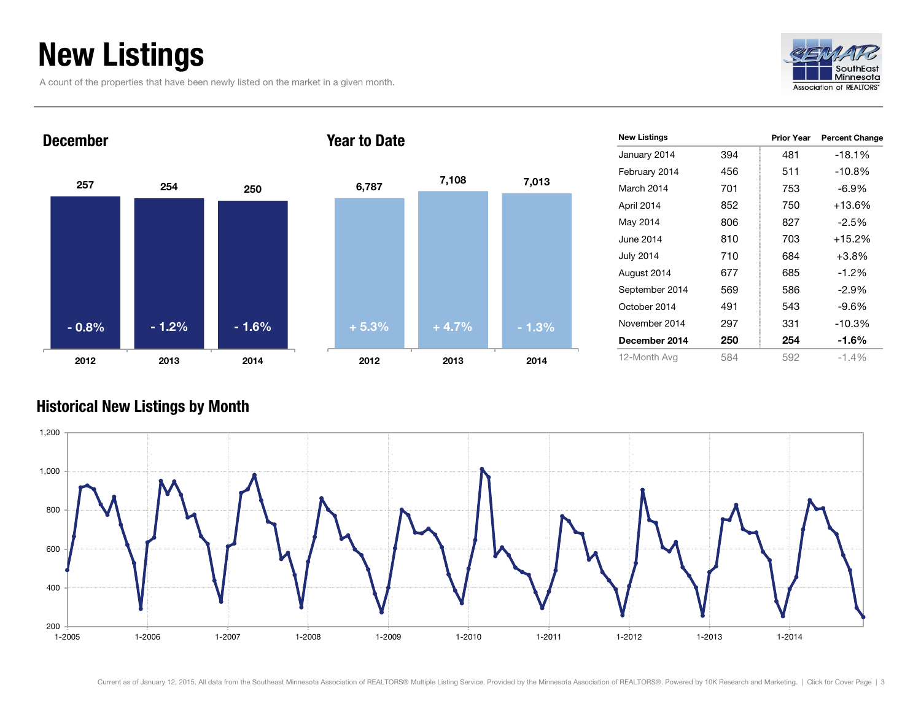## <span id="page-2-0"></span>New Listings

A count of the properties that have been newly listed on the market in a given month.





|         | 7,108   |         |
|---------|---------|---------|
| 6,787   |         | 7,013   |
|         |         |         |
|         |         |         |
|         |         |         |
|         |         |         |
|         |         |         |
| $+5.3%$ | $+4.7%$ | $-1.3%$ |
| 2012    | 2013    | 2014    |

| <b>New Listings</b> |     | <b>Prior Year</b> | <b>Percent Change</b> |
|---------------------|-----|-------------------|-----------------------|
| January 2014        | 394 | 481               | -18.1%                |
| February 2014       | 456 | 511               | $-10.8%$              |
| March 2014          | 701 | 753               | $-6.9\%$              |
| April 2014          | 852 | 750               | $+13.6%$              |
| May 2014            | 806 | 827               | $-2.5\%$              |
| June 2014           | 810 | 703               | $+15.2%$              |
| <b>July 2014</b>    | 710 | 684               | $+3.8%$               |
| August 2014         | 677 | 685               | $-1.2%$               |
| September 2014      | 569 | 586               | $-2.9%$               |
| October 2014        | 491 | 543               | -9.6%                 |
| November 2014       | 297 | 331               | -10.3%                |
| December 2014       | 250 | 254               | -1.6%                 |
| 12-Month Avg        | 584 | 592               | $-1.4%$               |

#### Historical New Listings by Month

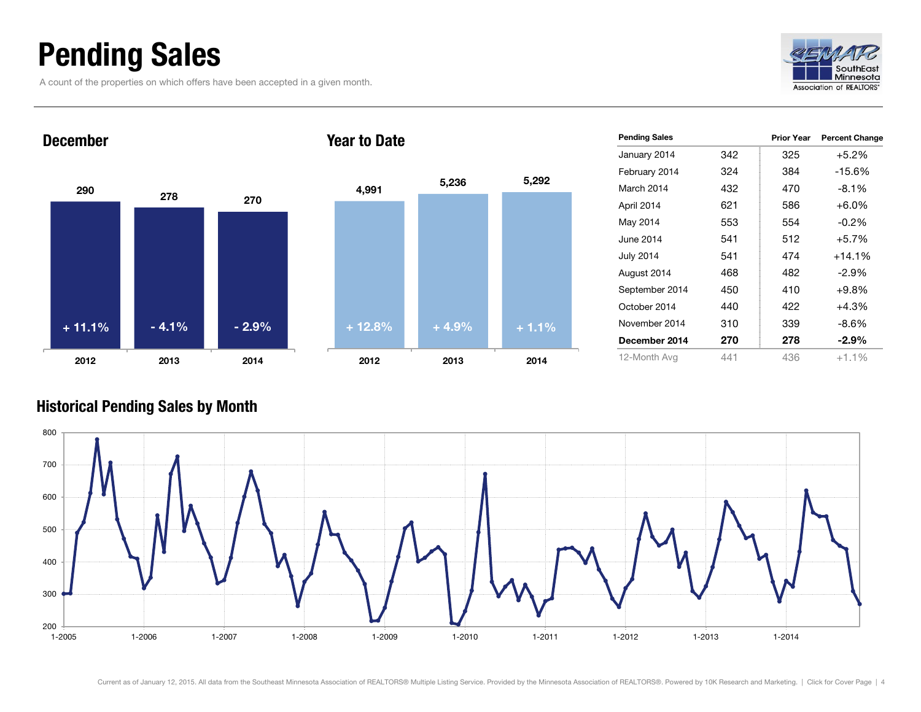## <span id="page-3-0"></span>Pending Sales

A count of the properties on which offers have been accepted in a given month.





| <b>Pending Sales</b> |     | <b>Prior Year</b> | <b>Percent Change</b> |
|----------------------|-----|-------------------|-----------------------|
| January 2014         | 342 | 325               | +5.2%                 |
| February 2014        | 324 | 384               | $-15.6%$              |
| March 2014           | 432 | 470               | $-8.1\%$              |
| April 2014           | 621 | 586               | $+6.0\%$              |
| May 2014             | 553 | 554               | $-0.2\%$              |
| June 2014            | 541 | 512               | $+5.7\%$              |
| <b>July 2014</b>     | 541 | 474               | $+14.1%$              |
| August 2014          | 468 | 482               | $-2.9\%$              |
| September 2014       | 450 | 410               | +9.8%                 |
| October 2014         | 440 | 422               | $+4.3%$               |
| November 2014        | 310 | 339               | -8.6%                 |
| December 2014        | 270 | 278               | $-2.9\%$              |
| 12-Month Avg         | 441 | 436               | $+1.1\%$              |

#### Historical Pending Sales by Month

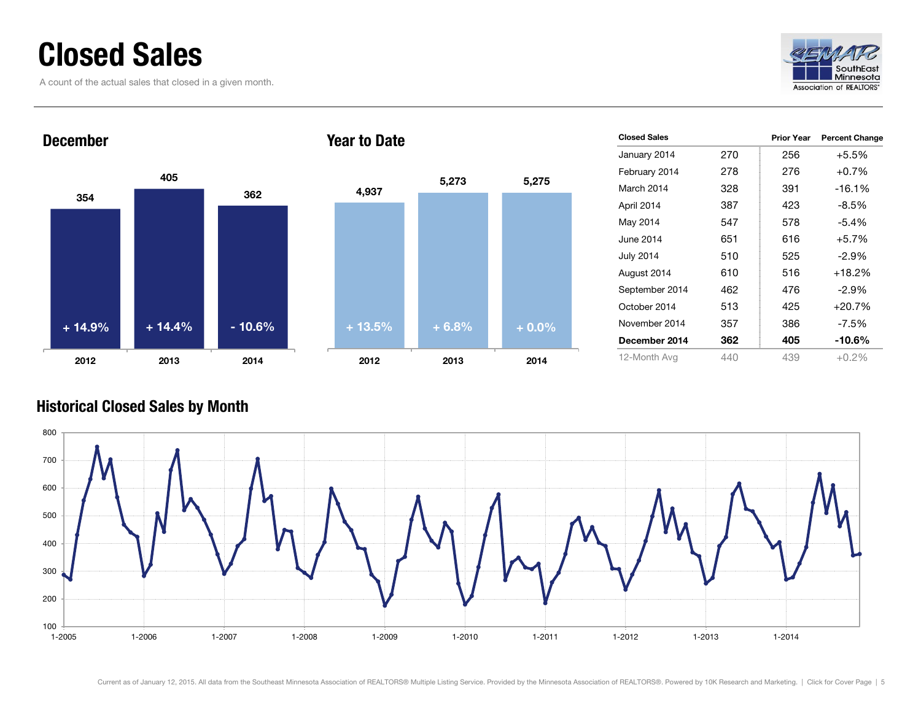## <span id="page-4-0"></span>Closed Sales

A count of the actual sales that closed in a given month.





| <b>Closed Sales</b> |     | Prior Year | <b>Percent Change</b> |
|---------------------|-----|------------|-----------------------|
| January 2014        | 270 | 256        | $+5.5%$               |
| February 2014       | 278 | 276        | $+0.7%$               |
| March 2014          | 328 | 391        | $-16.1%$              |
| April 2014          | 387 | 423        | $-8.5\%$              |
| May 2014            | 547 | 578        | $-5.4%$               |
| June 2014.          | 651 | 616        | $+5.7%$               |
| <b>July 2014</b>    | 510 | 525        | $-2.9\%$              |
| August 2014         | 610 | 516        | $+18.2%$              |
| September 2014      | 462 | 476        | $-2.9\%$              |
| October 2014        | 513 | 425        | $+20.7%$              |
| November 2014       | 357 | 386        | -7.5%                 |
| December 2014       | 362 | 405        | -10.6%                |
| 12-Month Avg        | 440 | 439        | $+0.2%$               |

#### Historical Closed Sales by Month

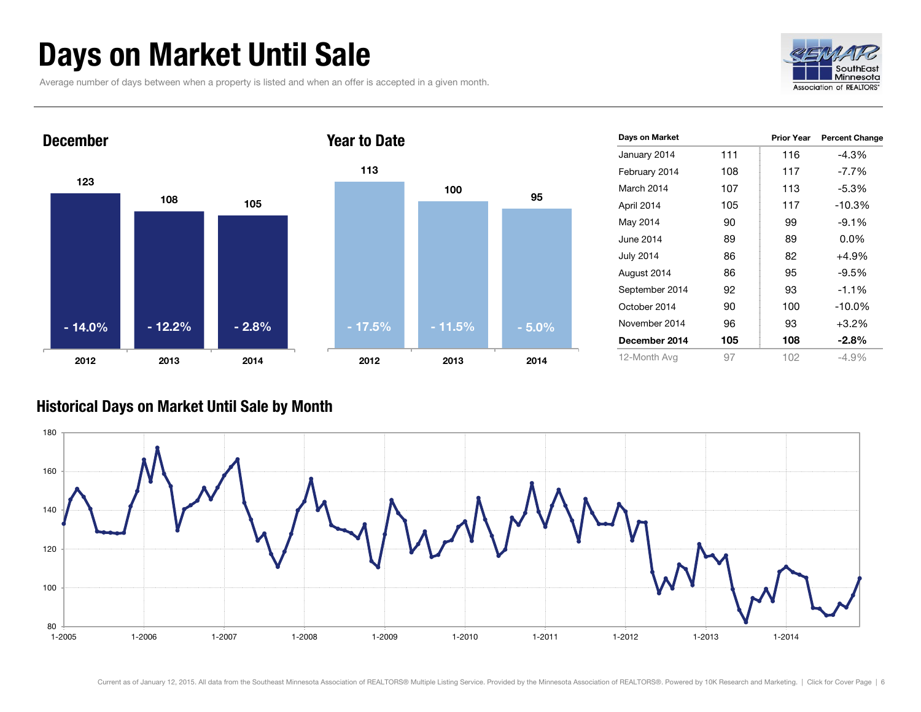## <span id="page-5-0"></span>Days on Market Until Sale

Average number of days between when a property is listed and when an offer is accepted in a given month.





| Days on Market   |     | <b>Prior Year</b> | <b>Percent Change</b> |
|------------------|-----|-------------------|-----------------------|
| January 2014     | 111 | 116               | -4.3%                 |
| February 2014    | 108 | 117               | $-7.7\%$              |
| March 2014       | 107 | 113               | $-5.3%$               |
| April 2014       | 105 | 117               | $-10.3%$              |
| May 2014         | 90  | 99                | $-9.1\%$              |
| June 2014        | 89  | 89                | $0.0\%$               |
| <b>July 2014</b> | 86  | 82                | $+4.9%$               |
| August 2014      | 86  | 95                | $-9.5%$               |
| September 2014   | 92  | 93                | $-1.1%$               |
| October 2014     | 90  | 100               | $-10.0\%$             |
| November 2014    | 96  | 93                | $+3.2%$               |
| December 2014    | 105 | 108               | $-2.8\%$              |
| 12-Month Avg     | 97  | 102               | -4.9%                 |

#### Historical Days on Market Until Sale by Month

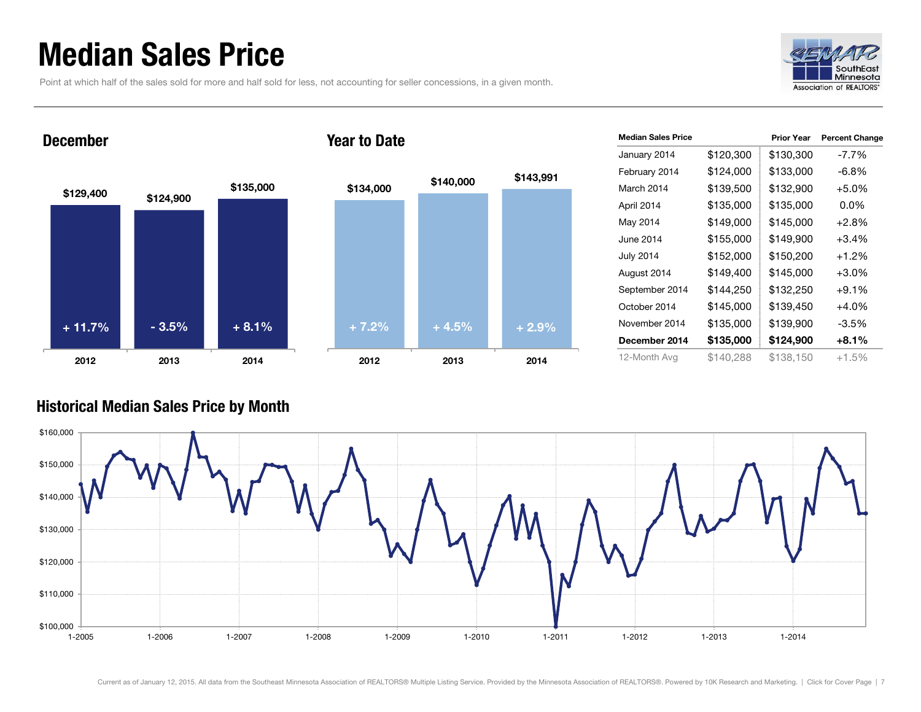## <span id="page-6-0"></span>Median Sales Price

Point at which half of the sales sold for more and half sold for less, not accounting for seller concessions, in a given month.



Prior Year Percent Change

## \$129,400 \$124,900 \$135,000 2012 2013 2014 December \$134,000 \$140,000 2012 2013 2014 Year to Date  $+ 11.7\%$  - 3.5% + 8.1% + 7.2% + 4.5% + 2.9%

|           | <b>Median Sales Price</b> |
|-----------|---------------------------|
|           | January 2014              |
| \$143,991 | February 2014             |
|           | March 2014                |
|           | April 2014                |
|           |                           |

|                  |           | гног гсаг | r crucin Unanyc |
|------------------|-----------|-----------|-----------------|
| January 2014     | \$120,300 | \$130,300 | -7.7%           |
| February 2014    | \$124,000 | \$133,000 | $-6.8%$         |
| March 2014       | \$139,500 | \$132,900 | $+5.0%$         |
| April 2014       | \$135,000 | \$135,000 | $0.0\%$         |
| May 2014         | \$149,000 | \$145,000 | $+2.8%$         |
| June 2014        | \$155,000 | \$149,900 | $+3.4%$         |
| <b>July 2014</b> | \$152,000 | \$150,200 | $+1.2%$         |
| August 2014      | \$149,400 | \$145,000 | $+3.0%$         |
| September 2014   | \$144,250 | \$132,250 | $+9.1%$         |
| October 2014     | \$145,000 | \$139,450 | +4.0%           |
| November 2014    | \$135,000 | \$139,900 | $-3.5%$         |
| December 2014    | \$135,000 | \$124,900 | $+8.1%$         |
| 12-Month Avg     | \$140,288 | \$138,150 | +1.5%           |
|                  |           |           |                 |

#### Historical Median Sales Price by Month

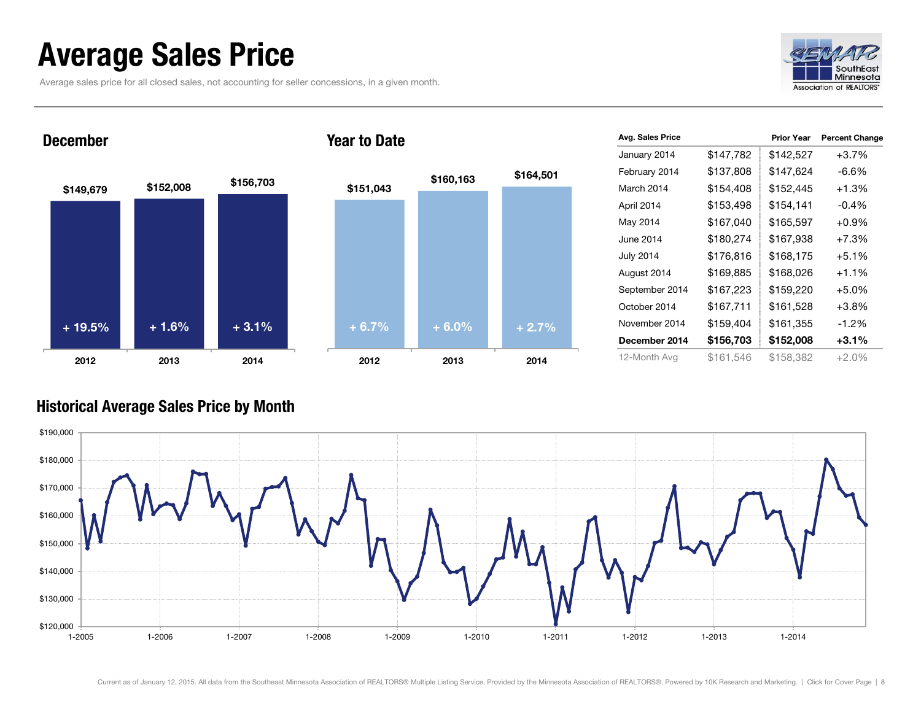## <span id="page-7-0"></span>Average Sales Price

Average sales price for all closed sales, not accounting for seller concessions, in a given month.



## \$149,679 \$152,008 \$156,703 2012 2013 2014 December Year to Date  $+ 19.5\%$  + 1.6% + 3.1% + 6.7% + 6.0% + 2.7%

| 2012      | 2013      | 2014      |
|-----------|-----------|-----------|
| $+6.7%$   | $+ 6.0%$  | $+2.7%$   |
|           |           |           |
|           |           |           |
|           |           |           |
| \$151,043 |           |           |
|           | \$160,163 | \$164,501 |
|           |           |           |

| Avg. Sales Price |           | <b>Prior Year</b> | <b>Percent Change</b> |
|------------------|-----------|-------------------|-----------------------|
| January 2014     | \$147,782 | \$142,527         | $+3.7%$               |
| February 2014    | \$137,808 | \$147,624         | -6.6%                 |
| March 2014       | \$154,408 | \$152,445         | $+1.3%$               |
| April 2014       | \$153,498 | \$154,141         | $-0.4%$               |
| May 2014         | \$167,040 | \$165,597         | $+0.9%$               |
| June 2014        | \$180,274 | \$167,938         | $+7.3%$               |
| <b>July 2014</b> | \$176,816 | \$168,175         | $+5.1%$               |
| August 2014      | \$169,885 | \$168,026         | $+1.1%$               |
| September 2014   | \$167,223 | \$159,220         | $+5.0%$               |
| October 2014     | \$167,711 | \$161,528         | $+3.8%$               |
| November 2014    | \$159,404 | \$161,355         | $-1.2%$               |
| December 2014    | \$156,703 | \$152,008         | $+3.1%$               |
| 12-Month Avg     | \$161,546 | \$158,382         | $+2.0%$               |

#### Historical Average Sales Price by Month

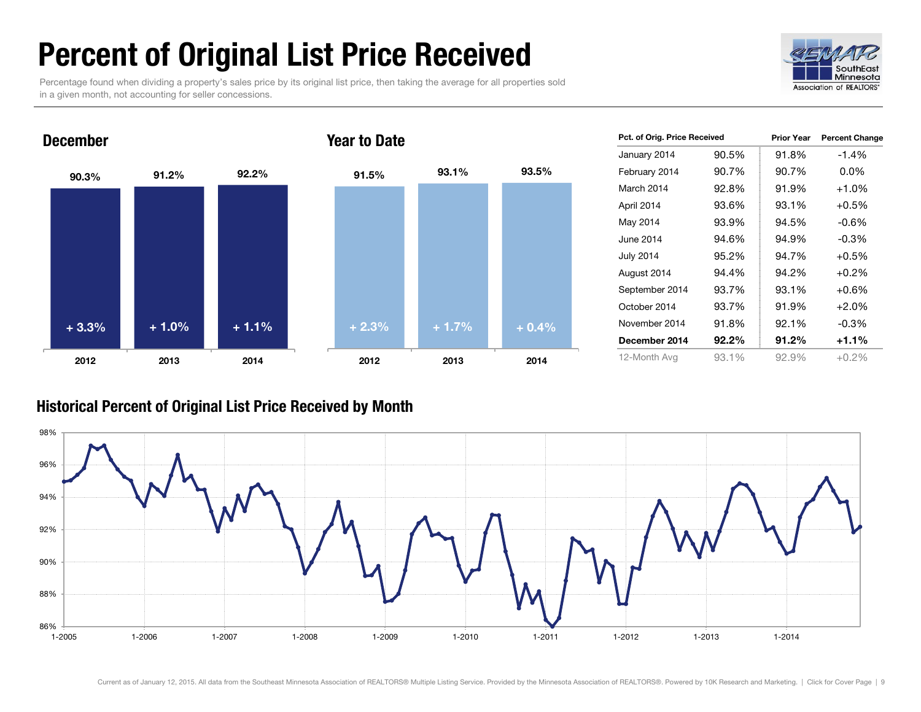## <span id="page-8-0"></span>Percent of Original List Price Received

Percentage found when dividing a property's sales price by its original list price, then taking the average for all properties sold in a given month, not accounting for seller concessions.





| Pct. of Orig. Price Received |          | <b>Prior Year</b> | <b>Percent Change</b> |
|------------------------------|----------|-------------------|-----------------------|
| January 2014                 | 90.5%    | 91.8%             | $-1.4%$               |
| February 2014                | 90.7%    | 90.7%             | $0.0\%$               |
| March 2014                   | 92.8%    | 91.9%             | $+1.0%$               |
| April 2014                   | 93.6%    | 93.1%             | $+0.5%$               |
| May 2014                     | 93.9%    | 94.5%             | -0.6%                 |
| June 2014                    | 94.6%    | 94.9%             | $-0.3\%$              |
| <b>July 2014</b>             | 95.2%    | 94.7%             | $+0.5%$               |
| August 2014                  | 94.4%    | 94.2%             | $+0.2%$               |
| September 2014               | 93.7%    | 93.1%             | $+0.6\%$              |
| October 2014                 | 93.7%    | 91.9%             | $+2.0%$               |
| November 2014                | 91.8%    | 92.1%             | $-0.3%$               |
| December 2014                | $92.2\%$ | 91.2%             | $+1.1%$               |
| 12-Month Avg                 | 93.1%    | 92.9%             | $+0.2\%$              |

#### Historical Percent of Original List Price Received by Month

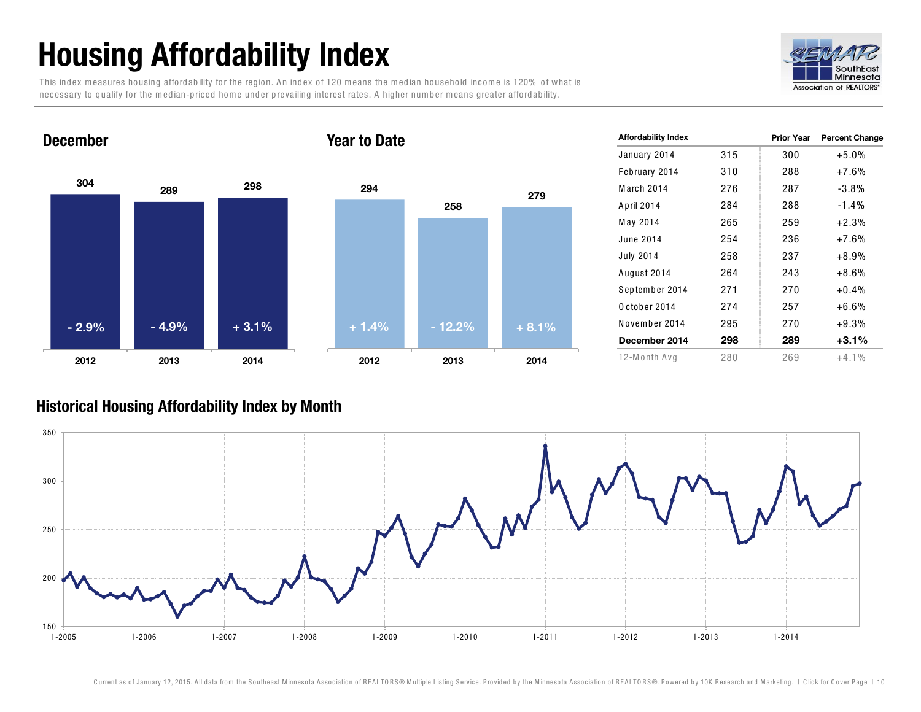## <span id="page-9-0"></span>Housing Affordability Index

This index measures housing affordability for the region. An index of 120 means the median household income is 120% of what is necessary to qualify for the median-priced home under prevailing interest rates. A higher number means greater affordability.





| <b>Affordability Index</b> |     | <b>Prior Year</b> | <b>Percent Change</b> |
|----------------------------|-----|-------------------|-----------------------|
| January 2014               | 315 | 300               | $+5.0%$               |
| February 2014              | 310 | 288               | $+7.6%$               |
| March 2014                 | 276 | 287               | $-3.8%$               |
| April 2014                 | 284 | 288               | $-1.4\%$              |
| May 2014                   | 265 | 259               | $+2.3%$               |
| June 2014                  | 254 | 236               | $+7.6%$               |
| <b>July 2014</b>           | 258 | 237               | $+8.9%$               |
| August 2014                | 264 | 243               | $+8.6%$               |
| September 2014             | 271 | 270               | $+0.4\%$              |
| October 2014               | 274 | 257               | $+6.6%$               |
| November 2014              | 295 | 270               | $+9.3%$               |
| December 2014              | 298 | 289               | $+3.1\%$              |
| 12-Month Avg               | 280 | 269               | $+4.1\%$              |

#### Historical Housing Affordability Index by Month

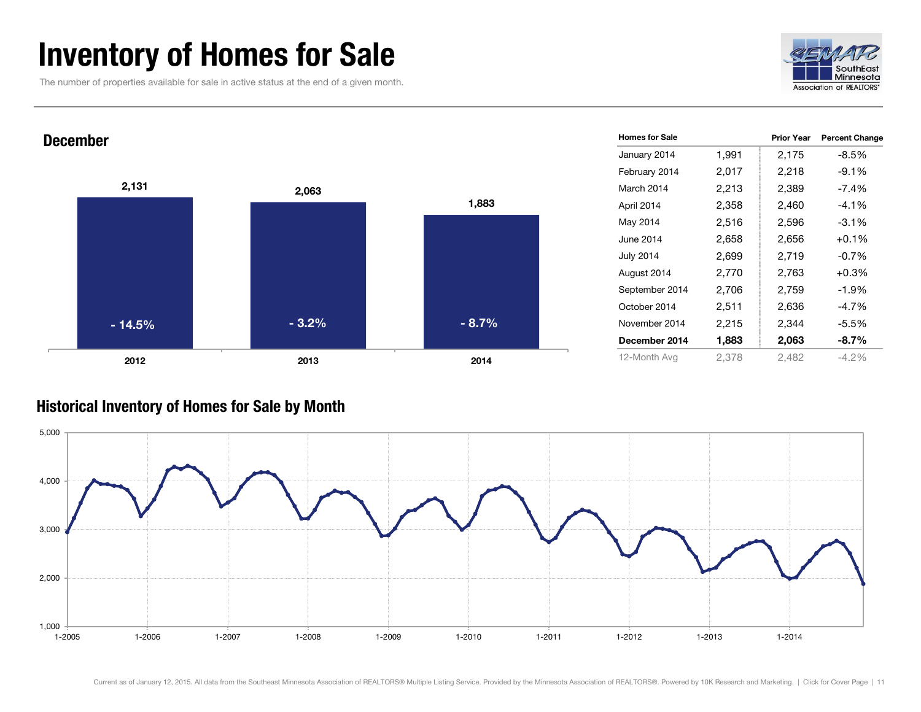## <span id="page-10-0"></span>Inventory of Homes for Sale

The number of properties available for sale in active status at the end of a given month.





#### Historical Inventory of Homes for Sale by Month

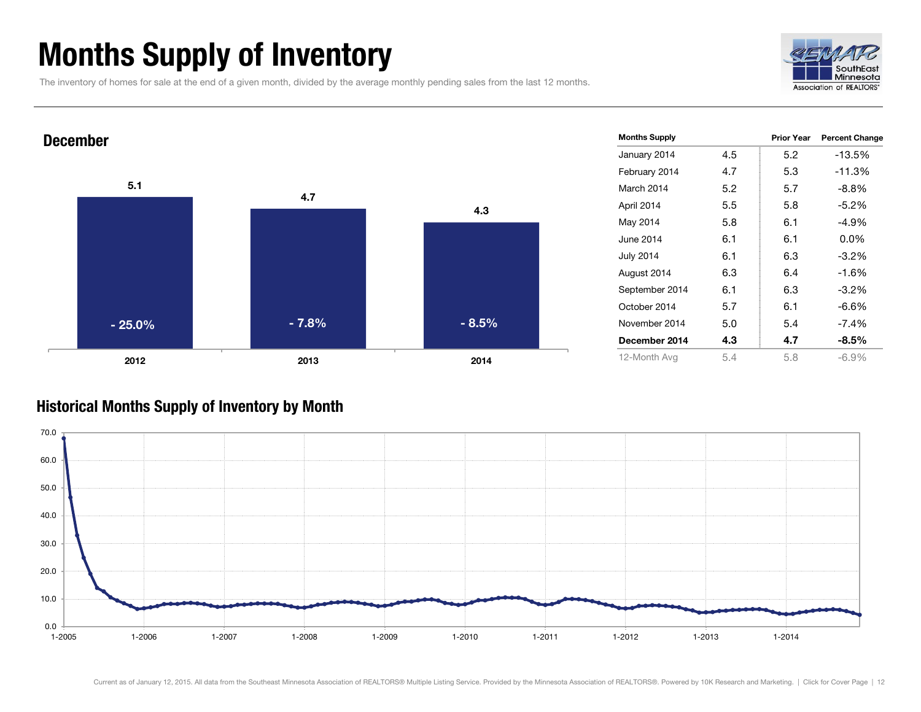## <span id="page-11-0"></span>Months Supply of Inventory

The inventory of homes for sale at the end of a given month, divided by the average monthly pending sales from the last 12 months.





#### Historical Months Supply of Inventory by Month